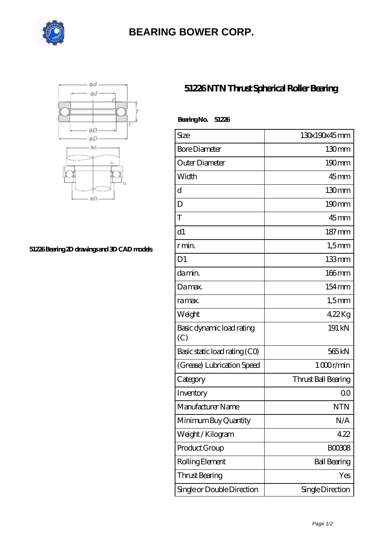

## **[BEARING BOWER CORP.](https://ballersunited.org)**



## **[51226 Bearing 2D drawings and 3D CAD models](https://ballersunited.org/pic-1037168.html)**

## **[51226 NTN Thrust Spherical Roller Bearing](https://ballersunited.org/thrust-tapered-roller-bearing/51226.html)**

| BearingNo.<br>51226              |                     |
|----------------------------------|---------------------|
| Size                             | 130x190x45mm        |
| <b>Bore Diameter</b>             | 130mm               |
| Outer Diameter                   | 190mm               |
| Width                            | $45$ <sub>mm</sub>  |
| d                                | 130 <sub>mm</sub>   |
| D                                | $190 \text{mm}$     |
| T                                | $45$ <sub>mm</sub>  |
| d1                               | $187 \,\mathrm{mm}$ |
| r min.                           | $1,5$ mm            |
| D <sub>1</sub>                   | 133mm               |
| da min.                          | 166mm               |
| Damax.                           | 154mm               |
| ra max.                          | $1,5$ mm            |
| Weight                           | $422$ Kg            |
| Basic dynamic load rating<br>(C) | 191 kN              |
| Basic static load rating (CO)    | 565 <sub>kN</sub>   |
| (Grease) Lubrication Speed       | 1000r/min           |
| Category                         | Thrust Ball Bearing |
| Inventory                        | 0 <sup>0</sup>      |
| Manufacturer Name                | <b>NTN</b>          |
| Minimum Buy Quantity             | N/A                 |
| Weight/Kilogram                  | 422                 |
| Product Group                    | <b>BOO308</b>       |
| Rolling Element                  | <b>Ball Bearing</b> |
| <b>Thrust Bearing</b>            | Yes                 |
| Single or Double Direction       | Single Direction    |